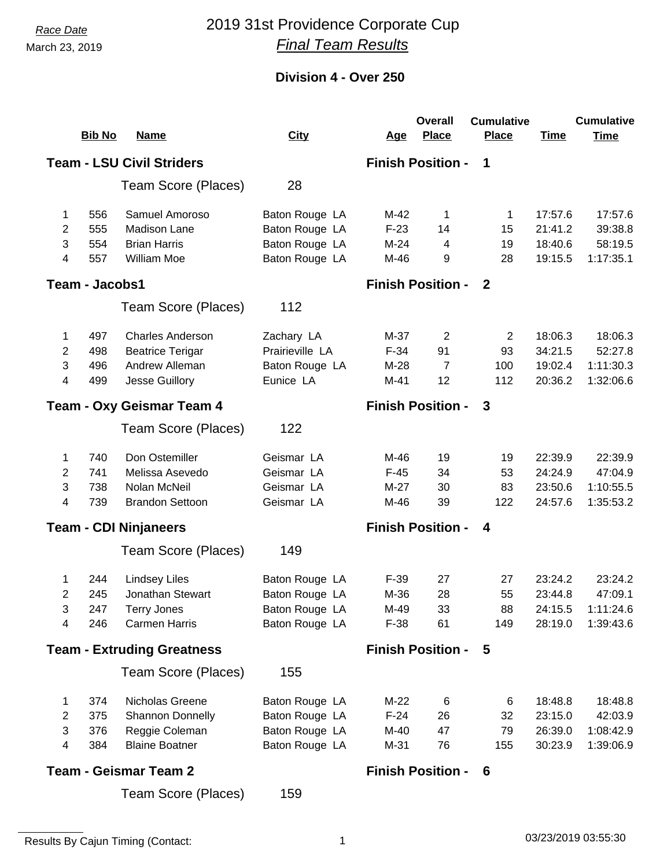### *Race Date* 2019 31st Providence Corporate Cup *Final Team Results*

#### **Division 4 - Over 250**

|                                                            |                       |                                   |                 |            | <b>Overall</b>           | <b>Cumulative</b> |             | <b>Cumulative</b> |
|------------------------------------------------------------|-----------------------|-----------------------------------|-----------------|------------|--------------------------|-------------------|-------------|-------------------|
|                                                            | <b>Bib No</b>         | <b>Name</b>                       | <b>City</b>     | <u>Age</u> | <b>Place</b>             | <b>Place</b>      | <b>Time</b> | <b>Time</b>       |
|                                                            |                       | <b>Team - LSU Civil Striders</b>  |                 |            | <b>Finish Position -</b> | 1                 |             |                   |
|                                                            |                       | Team Score (Places)               | 28              |            |                          |                   |             |                   |
| 1                                                          | 556                   | Samuel Amoroso                    | Baton Rouge LA  | M-42       | 1                        | 1                 | 17:57.6     | 17:57.6           |
| 2                                                          | 555                   | <b>Madison Lane</b>               | Baton Rouge LA  | $F-23$     | 14                       | 15                | 21:41.2     | 39:38.8           |
| 3                                                          | 554                   | <b>Brian Harris</b>               | Baton Rouge LA  | $M-24$     | 4                        | 19                | 18:40.6     | 58:19.5           |
| 4                                                          | 557                   | William Moe                       | Baton Rouge LA  | M-46       | 9                        | 28                | 19:15.5     | 1:17:35.1         |
|                                                            | <b>Team - Jacobs1</b> |                                   |                 |            | <b>Finish Position -</b> | $\mathbf{2}$      |             |                   |
|                                                            |                       | Team Score (Places)               | 112             |            |                          |                   |             |                   |
| 1                                                          | 497                   | <b>Charles Anderson</b>           | Zachary LA      | $M-37$     | $\mathbf{2}$             | $\mathbf{2}$      | 18:06.3     | 18:06.3           |
| 2                                                          | 498                   | <b>Beatrice Terigar</b>           | Prairieville LA | $F-34$     | 91                       | 93                | 34:21.5     | 52:27.8           |
| 3                                                          | 496                   | Andrew Alleman                    | Baton Rouge LA  | $M-28$     | $\overline{7}$           | 100               | 19:02.4     | 1:11:30.3         |
| 4                                                          | 499                   | Jesse Guillory                    | Eunice LA       | $M-41$     | 12                       | 112               | 20:36.2     | 1:32:06.6         |
| <b>Finish Position -</b><br>3<br>Team - Oxy Geismar Team 4 |                       |                                   |                 |            |                          |                   |             |                   |
|                                                            |                       | Team Score (Places)               | 122             |            |                          |                   |             |                   |
| 1                                                          | 740                   | Don Ostemiller                    | Geismar LA      | M-46       | 19                       | 19                | 22:39.9     | 22:39.9           |
| 2                                                          | 741                   | Melissa Asevedo                   | Geismar LA      | $F-45$     | 34                       | 53                | 24:24.9     | 47:04.9           |
| 3                                                          | 738                   | Nolan McNeil                      | Geismar LA      | $M-27$     | 30                       | 83                | 23:50.6     | 1:10:55.5         |
| 4                                                          | 739                   | <b>Brandon Settoon</b>            | Geismar LA      | M-46       | 39                       | 122               | 24:57.6     | 1:35:53.2         |
|                                                            |                       | <b>Team - CDI Ninjaneers</b>      |                 |            | <b>Finish Position -</b> | 4                 |             |                   |
|                                                            |                       | Team Score (Places)               | 149             |            |                          |                   |             |                   |
| 1                                                          | 244                   | <b>Lindsey Liles</b>              | Baton Rouge LA  | $F-39$     | 27                       | 27                | 23:24.2     | 23:24.2           |
| 2                                                          | 245                   | Jonathan Stewart                  | Baton Rouge LA  | M-36       | 28                       | 55                | 23:44.8     | 47:09.1           |
| 3                                                          | 247                   | <b>Terry Jones</b>                | Baton Rouge LA  | M-49       | 33                       | 88                | 24:15.5     | 1:11:24.6         |
| 4                                                          | 246                   | <b>Carmen Harris</b>              | Baton Rouge LA  | $F-38$     | 61                       | 149               | 28:19.0     | 1:39:43.6         |
|                                                            |                       | <b>Team - Extruding Greatness</b> |                 |            | <b>Finish Position -</b> | 5                 |             |                   |
|                                                            |                       | Team Score (Places)               | 155             |            |                          |                   |             |                   |
| 1                                                          | 374                   | Nicholas Greene                   | Baton Rouge LA  | $M-22$     | 6                        | 6                 | 18:48.8     | 18:48.8           |
| 2                                                          | 375                   | Shannon Donnelly                  | Baton Rouge LA  | $F-24$     | 26                       | 32                | 23:15.0     | 42:03.9           |
| 3                                                          | 376                   | Reggie Coleman                    | Baton Rouge LA  | M-40       | 47                       | 79                | 26:39.0     | 1:08:42.9         |
| 4                                                          | 384                   | <b>Blaine Boatner</b>             | Baton Rouge LA  | M-31       | 76                       | 155               | 30:23.9     | 1:39:06.9         |
|                                                            |                       | <b>Team - Geismar Team 2</b>      |                 |            | <b>Finish Position -</b> | 6                 |             |                   |
|                                                            |                       | Team Score (Places)               | 159             |            |                          |                   |             |                   |

Results By Cajun Timing (Contact: 1 03/23/2019 03:55:30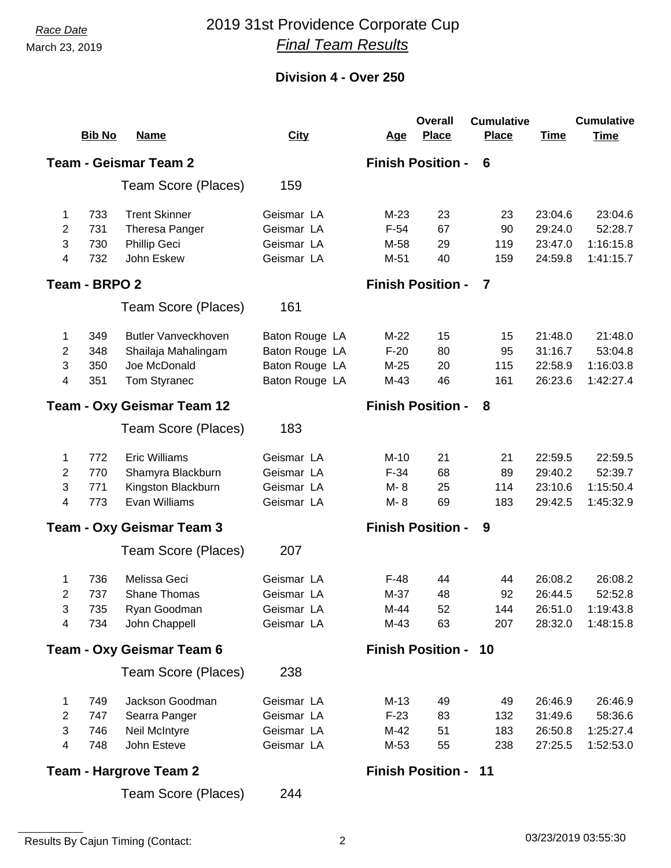## *Race Date* 2019 31st Providence Corporate Cup *Final Team Results*

|                |                                                               |                                  |                |            | <b>Overall</b>              | <b>Cumulative</b> |             | <b>Cumulative</b> |  |  |  |
|----------------|---------------------------------------------------------------|----------------------------------|----------------|------------|-----------------------------|-------------------|-------------|-------------------|--|--|--|
|                | <b>Bib No</b>                                                 | <b>Name</b>                      | <b>City</b>    | <u>Age</u> | <b>Place</b>                | <b>Place</b>      | <b>Time</b> | <b>Time</b>       |  |  |  |
|                | <b>Team - Geismar Team 2</b><br><b>Finish Position -</b><br>6 |                                  |                |            |                             |                   |             |                   |  |  |  |
|                |                                                               | Team Score (Places)              | 159            |            |                             |                   |             |                   |  |  |  |
| 1              | 733                                                           | <b>Trent Skinner</b>             | Geismar LA     | $M-23$     | 23                          | 23                | 23:04.6     | 23:04.6           |  |  |  |
| 2              | 731                                                           | Theresa Panger                   | Geismar LA     | $F-54$     | 67                          | 90                | 29:24.0     | 52:28.7           |  |  |  |
| 3              | 730                                                           | Phillip Geci                     | Geismar LA     | M-58       | 29                          | 119               | 23:47.0     | 1:16:15.8         |  |  |  |
| 4              | 732                                                           | John Eskew                       | Geismar LA     | $M-51$     | 40                          | 159               | 24:59.8     | 1:41:15.7         |  |  |  |
|                | Team - BRPO 2                                                 |                                  |                |            | <b>Finish Position -</b>    | 7                 |             |                   |  |  |  |
|                |                                                               | Team Score (Places)              | 161            |            |                             |                   |             |                   |  |  |  |
| 1              | 349                                                           | <b>Butler Vanveckhoven</b>       | Baton Rouge LA | $M-22$     | 15                          | 15                | 21:48.0     | 21:48.0           |  |  |  |
| 2              | 348                                                           | Shailaja Mahalingam              | Baton Rouge LA | $F-20$     | 80                          | 95                | 31:16.7     | 53:04.8           |  |  |  |
| 3              | 350                                                           | Joe McDonald                     | Baton Rouge LA | $M-25$     | 20                          | 115               | 22:58.9     | 1:16:03.8         |  |  |  |
| 4              | 351                                                           | Tom Styranec                     | Baton Rouge LA | $M-43$     | 46                          | 161               | 26:23.6     | 1:42:27.4         |  |  |  |
|                |                                                               | Team - Oxy Geismar Team 12       |                |            | <b>Finish Position -</b>    | 8                 |             |                   |  |  |  |
|                |                                                               | Team Score (Places)              | 183            |            |                             |                   |             |                   |  |  |  |
| 1              | 772                                                           | <b>Eric Williams</b>             | Geismar LA     | $M-10$     | 21                          | 21                | 22:59.5     | 22:59.5           |  |  |  |
| 2              | 770                                                           | Shamyra Blackburn                | Geismar LA     | $F-34$     | 68                          | 89                | 29:40.2     | 52:39.7           |  |  |  |
| 3              | 771                                                           | Kingston Blackburn               | Geismar LA     | M-8        | 25                          | 114               | 23:10.6     | 1:15:50.4         |  |  |  |
| 4              | 773                                                           | Evan Williams                    | Geismar LA     | M-8        | 69                          | 183               | 29:42.5     | 1:45:32.9         |  |  |  |
|                |                                                               | <b>Team - Oxy Geismar Team 3</b> |                |            | <b>Finish Position -</b>    | 9                 |             |                   |  |  |  |
|                |                                                               | Team Score (Places)              | 207            |            |                             |                   |             |                   |  |  |  |
| 1              | 736                                                           | Melissa Geci                     | Geismar LA     | $F-48$     | 44                          | 44                | 26:08.2     | 26:08.2           |  |  |  |
| 2              | 737                                                           | Shane Thomas                     | Geismar LA     | M-37       | 48                          | 92                | 26:44.5     | 52:52.8           |  |  |  |
| 3              | 735                                                           | Ryan Goodman                     | Geismar LA     | $M-44$     | 52                          | 144               | 26:51.0     | 1:19:43.8         |  |  |  |
| 4              | 734                                                           | John Chappell                    | Geismar LA     | M-43       | 63                          | 207               | 28:32.0     | 1:48:15.8         |  |  |  |
|                |                                                               | Team - Oxy Geismar Team 6        |                |            | <b>Finish Position - 10</b> |                   |             |                   |  |  |  |
|                |                                                               | Team Score (Places)              | 238            |            |                             |                   |             |                   |  |  |  |
| 1              | 749                                                           | Jackson Goodman                  | Geismar LA     | $M-13$     | 49                          | 49                | 26:46.9     | 26:46.9           |  |  |  |
| $\overline{2}$ | 747                                                           | Searra Panger                    | Geismar LA     | $F-23$     | 83                          | 132               | 31:49.6     | 58:36.6           |  |  |  |
| 3              | 746                                                           | Neil McIntyre                    | Geismar LA     | M-42       | 51                          | 183               | 26:50.8     | 1:25:27.4         |  |  |  |
| 4              | 748                                                           | John Esteve                      | Geismar LA     | M-53       | 55                          | 238               | 27:25.5     | 1:52:53.0         |  |  |  |
|                |                                                               | <b>Team - Hargrove Team 2</b>    |                |            | <b>Finish Position - 11</b> |                   |             |                   |  |  |  |
|                |                                                               | Team Score (Places)              | 244            |            |                             |                   |             |                   |  |  |  |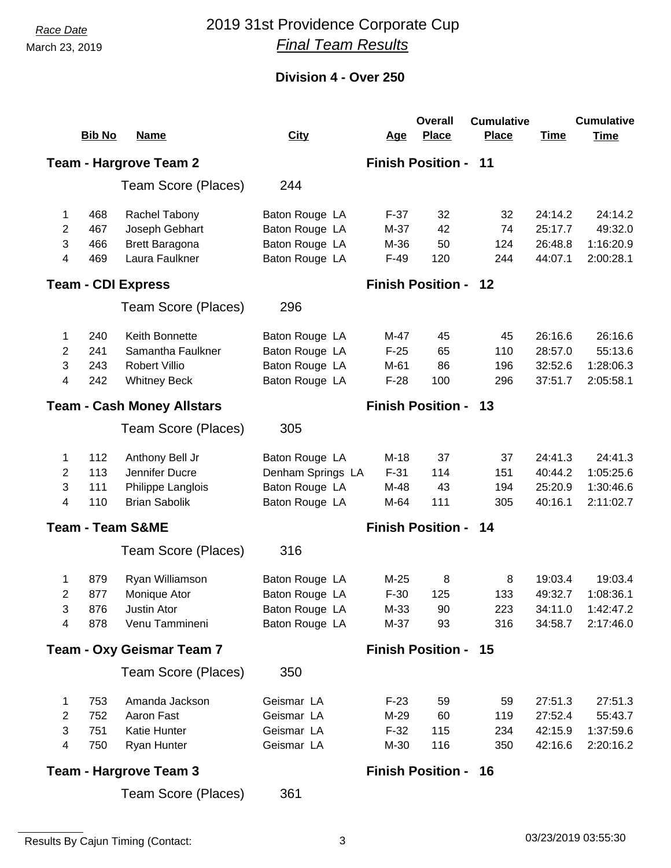## *Race Date* 2019 31st Providence Corporate Cup *Final Team Results*

|                                  |               |                                   |                   |            | <b>Overall</b>              | <b>Cumulative</b> |             | <b>Cumulative</b> |
|----------------------------------|---------------|-----------------------------------|-------------------|------------|-----------------------------|-------------------|-------------|-------------------|
|                                  | <b>Bib No</b> | <b>Name</b>                       | <b>City</b>       | <u>Age</u> | <b>Place</b>                | <b>Place</b>      | <b>Time</b> | <b>Time</b>       |
|                                  |               | <b>Team - Hargrove Team 2</b>     |                   |            | <b>Finish Position -</b>    | 11                |             |                   |
|                                  |               | Team Score (Places)               | 244               |            |                             |                   |             |                   |
| 1                                | 468           | Rachel Tabony                     | Baton Rouge LA    | $F-37$     | 32                          | 32                | 24:14.2     | 24:14.2           |
| 2                                | 467           | Joseph Gebhart                    | Baton Rouge LA    | M-37       | 42                          | 74                | 25:17.7     | 49:32.0           |
| 3                                | 466           | <b>Brett Baragona</b>             | Baton Rouge LA    | M-36       | 50                          | 124               | 26:48.8     | 1:16:20.9         |
| 4                                | 469           | Laura Faulkner                    | Baton Rouge LA    | $F-49$     | 120                         | 244               | 44:07.1     | 2:00:28.1         |
|                                  |               | <b>Team - CDI Express</b>         |                   |            | <b>Finish Position - 12</b> |                   |             |                   |
|                                  |               | Team Score (Places)               | 296               |            |                             |                   |             |                   |
| 1                                | 240           | Keith Bonnette                    | Baton Rouge LA    | M-47       | 45                          | 45                | 26:16.6     | 26:16.6           |
| 2                                | 241           | Samantha Faulkner                 | Baton Rouge LA    | $F-25$     | 65                          | 110               | 28:57.0     | 55:13.6           |
| 3                                | 243           | <b>Robert Villio</b>              | Baton Rouge LA    | M-61       | 86                          | 196               | 32:52.6     | 1:28:06.3         |
| 4                                | 242           | <b>Whitney Beck</b>               | Baton Rouge LA    | $F-28$     | 100                         | 296               | 37:51.7     | 2:05:58.1         |
|                                  |               | <b>Team - Cash Money Allstars</b> |                   |            | <b>Finish Position -</b>    | 13                |             |                   |
|                                  |               | Team Score (Places)               | 305               |            |                             |                   |             |                   |
| 1                                | 112           | Anthony Bell Jr                   | Baton Rouge LA    | $M-18$     | 37                          | 37                | 24:41.3     | 24:41.3           |
| $\overline{2}$                   | 113           | Jennifer Ducre                    | Denham Springs LA | $F-31$     | 114                         | 151               | 40:44.2     | 1:05:25.6         |
| 3                                | 111           | Philippe Langlois                 | Baton Rouge LA    | M-48       | 43                          | 194               | 25:20.9     | 1:30:46.6         |
| 4                                | 110           | <b>Brian Sabolik</b>              | Baton Rouge LA    | M-64       | 111                         | 305               | 40:16.1     | 2:11:02.7         |
|                                  |               | <b>Team - Team S&amp;ME</b>       |                   |            | <b>Finish Position - 14</b> |                   |             |                   |
|                                  |               | Team Score (Places)               | 316               |            |                             |                   |             |                   |
| 1                                | 879           | Ryan Williamson                   | Baton Rouge LA    | $M-25$     | 8                           | 8                 | 19:03.4     | 19:03.4           |
| 2                                | 877           | Monique Ator                      | Baton Rouge LA    | $F-30$     | 125                         | 133               | 49:32.7     | 1:08:36.1         |
| 3                                | 876           | Justin Ator                       | Baton Rouge LA    | M-33       | 90                          | 223               | 34:11.0     | 1:42:47.2         |
| 4                                | 878           | Venu Tammineni                    | Baton Rouge LA    | M-37       | 93                          | 316               | 34:58.7     | 2:17:46.0         |
| <b>Team - Oxy Geismar Team 7</b> |               |                                   |                   |            | <b>Finish Position - 15</b> |                   |             |                   |
|                                  |               | Team Score (Places)               | 350               |            |                             |                   |             |                   |
| 1                                | 753           | Amanda Jackson                    | Geismar LA        | $F-23$     | 59                          | 59                | 27:51.3     | 27:51.3           |
| $\overline{c}$                   | 752           | Aaron Fast                        | Geismar LA        | M-29       | 60                          | 119               | 27:52.4     | 55:43.7           |
| 3                                | 751           | Katie Hunter                      | Geismar LA        | $F-32$     | 115                         | 234               | 42:15.9     | 1:37:59.6         |
| 4                                | 750           | Ryan Hunter                       | Geismar LA        | M-30       | 116                         | 350               | 42:16.6     | 2:20:16.2         |
|                                  |               | <b>Team - Hargrove Team 3</b>     |                   |            | <b>Finish Position - 16</b> |                   |             |                   |
|                                  |               | Team Score (Places)               | 361               |            |                             |                   |             |                   |
|                                  |               |                                   |                   |            |                             |                   |             |                   |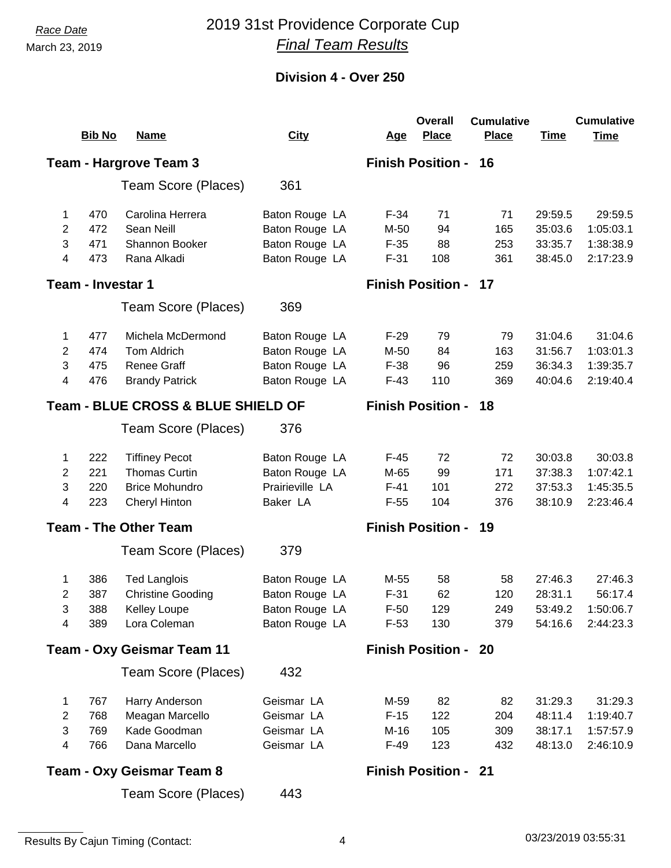## *Race Date* 2019 31st Providence Corporate Cup *Final Team Results*

| <b>Place</b><br><b>Place</b><br><b>Bib No</b><br><b>Name</b><br><b>City</b><br><b>Time</b><br><u>Age</u><br><b>Time</b><br><b>Finish Position - 16</b><br><b>Team - Hargrove Team 3</b><br>Team Score (Places)<br>361<br>470<br>Carolina Herrera<br>Baton Rouge LA<br>$F-34$<br>71<br>71<br>29:59.5<br>29:59.5<br>1<br>Sean Neill<br>Baton Rouge LA<br>1:05:03.1<br>2<br>472<br>M-50<br>94<br>165<br>35:03.6<br>3<br>471<br>Shannon Booker<br>Baton Rouge LA<br>$F-35$<br>88<br>253<br>33:35.7<br>1:38:38.9<br>2:17:23.9<br>Baton Rouge LA<br>38:45.0<br>4<br>473<br>Rana Alkadi<br>$F-31$<br>108<br>361<br><b>Team - Investar 1</b><br><b>Finish Position - 17</b><br>369<br>Team Score (Places)<br>477<br>Michela McDermond<br>Baton Rouge LA<br>$F-29$<br>79<br>31:04.6<br>31:04.6<br>79<br>1<br>Tom Aldrich<br>Baton Rouge LA<br>1:03:01.3<br>2<br>474<br>M-50<br>84<br>163<br>31:56.7<br>3<br><b>Renee Graff</b><br>Baton Rouge LA<br>$F-38$<br>1:39:35.7<br>475<br>96<br>259<br>36:34.3<br>Baton Rouge LA<br>110<br>4<br>476<br><b>Brandy Patrick</b><br>$F-43$<br>369<br>40:04.6<br>2:19:40.4<br><b>Team - BLUE CROSS &amp; BLUE SHIELD OF</b><br><b>Finish Position - 18</b><br>Team Score (Places)<br>376<br>222<br><b>Tiffiney Pecot</b><br>Baton Rouge LA<br>$F-45$<br>72<br>72<br>30:03.8<br>30:03.8<br>1<br>221<br><b>Thomas Curtin</b><br>Baton Rouge LA<br>2<br>M-65<br>99<br>171<br>37:38.3<br>1:07:42.1<br>3<br>220<br><b>Brice Mohundro</b><br>Prairieville LA<br>101<br>37:53.3<br>1:45:35.5<br>$F-41$<br>272<br>223<br>104<br>38:10.9<br>2:23:46.4<br>4<br><b>Cheryl Hinton</b><br>Baker LA<br>$F-55$<br>376<br><b>Finish Position - 19</b><br><b>Team - The Other Team</b><br>Team Score (Places)<br>379<br>386<br><b>Ted Langlois</b><br>Baton Rouge LA<br>M-55<br>58<br>58<br>27:46.3<br>27:46.3<br>1<br>387<br><b>Christine Gooding</b><br>Baton Rouge LA<br>$F-31$<br>62<br>56:17.4<br>2<br>120<br>28:31.1<br>3<br>388<br>Kelley Loupe<br>Baton Rouge LA<br>$F-50$<br>129<br>249<br>53:49.2<br>1:50:06.7<br>389<br>Lora Coleman<br>Baton Rouge LA<br>$F-53$<br>130<br>379<br>54:16.6<br>2:44:23.3<br>4<br><b>Finish Position - 20</b><br><b>Team - Oxy Geismar Team 11</b><br>Team Score (Places)<br>432<br>767<br>Harry Anderson<br>Geismar LA<br>M-59<br>82<br>31:29.3<br>31:29.3<br>82<br>1<br>Geismar LA<br>$\overline{2}$<br>768<br>Meagan Marcello<br>$F-15$<br>122<br>204<br>48:11.4<br>1:19:40.7<br>3<br>Kade Goodman<br>Geismar LA<br>105<br>769<br>M-16<br>309<br>38:17.1<br>1:57:57.9<br>Geismar LA<br>4<br>766<br>Dana Marcello<br>$F-49$<br>123<br>432<br>48:13.0<br>2:46:10.9<br><b>Finish Position - 21</b><br><b>Team - Oxy Geismar Team 8</b><br>Team Score (Places)<br>443 |  |  |  |  |  | Overall | <b>Cumulative</b> |  | <b>Cumulative</b> |  |
|-----------------------------------------------------------------------------------------------------------------------------------------------------------------------------------------------------------------------------------------------------------------------------------------------------------------------------------------------------------------------------------------------------------------------------------------------------------------------------------------------------------------------------------------------------------------------------------------------------------------------------------------------------------------------------------------------------------------------------------------------------------------------------------------------------------------------------------------------------------------------------------------------------------------------------------------------------------------------------------------------------------------------------------------------------------------------------------------------------------------------------------------------------------------------------------------------------------------------------------------------------------------------------------------------------------------------------------------------------------------------------------------------------------------------------------------------------------------------------------------------------------------------------------------------------------------------------------------------------------------------------------------------------------------------------------------------------------------------------------------------------------------------------------------------------------------------------------------------------------------------------------------------------------------------------------------------------------------------------------------------------------------------------------------------------------------------------------------------------------------------------------------------------------------------------------------------------------------------------------------------------------------------------------------------------------------------------------------------------------------------------------------------------------------------------------------------------------------------------------------------------------------------------------------------------------------------------------------------------------------------------------------------------------------------------------------------------------------------|--|--|--|--|--|---------|-------------------|--|-------------------|--|
|                                                                                                                                                                                                                                                                                                                                                                                                                                                                                                                                                                                                                                                                                                                                                                                                                                                                                                                                                                                                                                                                                                                                                                                                                                                                                                                                                                                                                                                                                                                                                                                                                                                                                                                                                                                                                                                                                                                                                                                                                                                                                                                                                                                                                                                                                                                                                                                                                                                                                                                                                                                                                                                                                                                       |  |  |  |  |  |         |                   |  |                   |  |
|                                                                                                                                                                                                                                                                                                                                                                                                                                                                                                                                                                                                                                                                                                                                                                                                                                                                                                                                                                                                                                                                                                                                                                                                                                                                                                                                                                                                                                                                                                                                                                                                                                                                                                                                                                                                                                                                                                                                                                                                                                                                                                                                                                                                                                                                                                                                                                                                                                                                                                                                                                                                                                                                                                                       |  |  |  |  |  |         |                   |  |                   |  |
|                                                                                                                                                                                                                                                                                                                                                                                                                                                                                                                                                                                                                                                                                                                                                                                                                                                                                                                                                                                                                                                                                                                                                                                                                                                                                                                                                                                                                                                                                                                                                                                                                                                                                                                                                                                                                                                                                                                                                                                                                                                                                                                                                                                                                                                                                                                                                                                                                                                                                                                                                                                                                                                                                                                       |  |  |  |  |  |         |                   |  |                   |  |
|                                                                                                                                                                                                                                                                                                                                                                                                                                                                                                                                                                                                                                                                                                                                                                                                                                                                                                                                                                                                                                                                                                                                                                                                                                                                                                                                                                                                                                                                                                                                                                                                                                                                                                                                                                                                                                                                                                                                                                                                                                                                                                                                                                                                                                                                                                                                                                                                                                                                                                                                                                                                                                                                                                                       |  |  |  |  |  |         |                   |  |                   |  |
|                                                                                                                                                                                                                                                                                                                                                                                                                                                                                                                                                                                                                                                                                                                                                                                                                                                                                                                                                                                                                                                                                                                                                                                                                                                                                                                                                                                                                                                                                                                                                                                                                                                                                                                                                                                                                                                                                                                                                                                                                                                                                                                                                                                                                                                                                                                                                                                                                                                                                                                                                                                                                                                                                                                       |  |  |  |  |  |         |                   |  |                   |  |
|                                                                                                                                                                                                                                                                                                                                                                                                                                                                                                                                                                                                                                                                                                                                                                                                                                                                                                                                                                                                                                                                                                                                                                                                                                                                                                                                                                                                                                                                                                                                                                                                                                                                                                                                                                                                                                                                                                                                                                                                                                                                                                                                                                                                                                                                                                                                                                                                                                                                                                                                                                                                                                                                                                                       |  |  |  |  |  |         |                   |  |                   |  |
|                                                                                                                                                                                                                                                                                                                                                                                                                                                                                                                                                                                                                                                                                                                                                                                                                                                                                                                                                                                                                                                                                                                                                                                                                                                                                                                                                                                                                                                                                                                                                                                                                                                                                                                                                                                                                                                                                                                                                                                                                                                                                                                                                                                                                                                                                                                                                                                                                                                                                                                                                                                                                                                                                                                       |  |  |  |  |  |         |                   |  |                   |  |
|                                                                                                                                                                                                                                                                                                                                                                                                                                                                                                                                                                                                                                                                                                                                                                                                                                                                                                                                                                                                                                                                                                                                                                                                                                                                                                                                                                                                                                                                                                                                                                                                                                                                                                                                                                                                                                                                                                                                                                                                                                                                                                                                                                                                                                                                                                                                                                                                                                                                                                                                                                                                                                                                                                                       |  |  |  |  |  |         |                   |  |                   |  |
|                                                                                                                                                                                                                                                                                                                                                                                                                                                                                                                                                                                                                                                                                                                                                                                                                                                                                                                                                                                                                                                                                                                                                                                                                                                                                                                                                                                                                                                                                                                                                                                                                                                                                                                                                                                                                                                                                                                                                                                                                                                                                                                                                                                                                                                                                                                                                                                                                                                                                                                                                                                                                                                                                                                       |  |  |  |  |  |         |                   |  |                   |  |
|                                                                                                                                                                                                                                                                                                                                                                                                                                                                                                                                                                                                                                                                                                                                                                                                                                                                                                                                                                                                                                                                                                                                                                                                                                                                                                                                                                                                                                                                                                                                                                                                                                                                                                                                                                                                                                                                                                                                                                                                                                                                                                                                                                                                                                                                                                                                                                                                                                                                                                                                                                                                                                                                                                                       |  |  |  |  |  |         |                   |  |                   |  |
|                                                                                                                                                                                                                                                                                                                                                                                                                                                                                                                                                                                                                                                                                                                                                                                                                                                                                                                                                                                                                                                                                                                                                                                                                                                                                                                                                                                                                                                                                                                                                                                                                                                                                                                                                                                                                                                                                                                                                                                                                                                                                                                                                                                                                                                                                                                                                                                                                                                                                                                                                                                                                                                                                                                       |  |  |  |  |  |         |                   |  |                   |  |
|                                                                                                                                                                                                                                                                                                                                                                                                                                                                                                                                                                                                                                                                                                                                                                                                                                                                                                                                                                                                                                                                                                                                                                                                                                                                                                                                                                                                                                                                                                                                                                                                                                                                                                                                                                                                                                                                                                                                                                                                                                                                                                                                                                                                                                                                                                                                                                                                                                                                                                                                                                                                                                                                                                                       |  |  |  |  |  |         |                   |  |                   |  |
|                                                                                                                                                                                                                                                                                                                                                                                                                                                                                                                                                                                                                                                                                                                                                                                                                                                                                                                                                                                                                                                                                                                                                                                                                                                                                                                                                                                                                                                                                                                                                                                                                                                                                                                                                                                                                                                                                                                                                                                                                                                                                                                                                                                                                                                                                                                                                                                                                                                                                                                                                                                                                                                                                                                       |  |  |  |  |  |         |                   |  |                   |  |
|                                                                                                                                                                                                                                                                                                                                                                                                                                                                                                                                                                                                                                                                                                                                                                                                                                                                                                                                                                                                                                                                                                                                                                                                                                                                                                                                                                                                                                                                                                                                                                                                                                                                                                                                                                                                                                                                                                                                                                                                                                                                                                                                                                                                                                                                                                                                                                                                                                                                                                                                                                                                                                                                                                                       |  |  |  |  |  |         |                   |  |                   |  |
|                                                                                                                                                                                                                                                                                                                                                                                                                                                                                                                                                                                                                                                                                                                                                                                                                                                                                                                                                                                                                                                                                                                                                                                                                                                                                                                                                                                                                                                                                                                                                                                                                                                                                                                                                                                                                                                                                                                                                                                                                                                                                                                                                                                                                                                                                                                                                                                                                                                                                                                                                                                                                                                                                                                       |  |  |  |  |  |         |                   |  |                   |  |
|                                                                                                                                                                                                                                                                                                                                                                                                                                                                                                                                                                                                                                                                                                                                                                                                                                                                                                                                                                                                                                                                                                                                                                                                                                                                                                                                                                                                                                                                                                                                                                                                                                                                                                                                                                                                                                                                                                                                                                                                                                                                                                                                                                                                                                                                                                                                                                                                                                                                                                                                                                                                                                                                                                                       |  |  |  |  |  |         |                   |  |                   |  |
|                                                                                                                                                                                                                                                                                                                                                                                                                                                                                                                                                                                                                                                                                                                                                                                                                                                                                                                                                                                                                                                                                                                                                                                                                                                                                                                                                                                                                                                                                                                                                                                                                                                                                                                                                                                                                                                                                                                                                                                                                                                                                                                                                                                                                                                                                                                                                                                                                                                                                                                                                                                                                                                                                                                       |  |  |  |  |  |         |                   |  |                   |  |
|                                                                                                                                                                                                                                                                                                                                                                                                                                                                                                                                                                                                                                                                                                                                                                                                                                                                                                                                                                                                                                                                                                                                                                                                                                                                                                                                                                                                                                                                                                                                                                                                                                                                                                                                                                                                                                                                                                                                                                                                                                                                                                                                                                                                                                                                                                                                                                                                                                                                                                                                                                                                                                                                                                                       |  |  |  |  |  |         |                   |  |                   |  |
|                                                                                                                                                                                                                                                                                                                                                                                                                                                                                                                                                                                                                                                                                                                                                                                                                                                                                                                                                                                                                                                                                                                                                                                                                                                                                                                                                                                                                                                                                                                                                                                                                                                                                                                                                                                                                                                                                                                                                                                                                                                                                                                                                                                                                                                                                                                                                                                                                                                                                                                                                                                                                                                                                                                       |  |  |  |  |  |         |                   |  |                   |  |
|                                                                                                                                                                                                                                                                                                                                                                                                                                                                                                                                                                                                                                                                                                                                                                                                                                                                                                                                                                                                                                                                                                                                                                                                                                                                                                                                                                                                                                                                                                                                                                                                                                                                                                                                                                                                                                                                                                                                                                                                                                                                                                                                                                                                                                                                                                                                                                                                                                                                                                                                                                                                                                                                                                                       |  |  |  |  |  |         |                   |  |                   |  |
|                                                                                                                                                                                                                                                                                                                                                                                                                                                                                                                                                                                                                                                                                                                                                                                                                                                                                                                                                                                                                                                                                                                                                                                                                                                                                                                                                                                                                                                                                                                                                                                                                                                                                                                                                                                                                                                                                                                                                                                                                                                                                                                                                                                                                                                                                                                                                                                                                                                                                                                                                                                                                                                                                                                       |  |  |  |  |  |         |                   |  |                   |  |
|                                                                                                                                                                                                                                                                                                                                                                                                                                                                                                                                                                                                                                                                                                                                                                                                                                                                                                                                                                                                                                                                                                                                                                                                                                                                                                                                                                                                                                                                                                                                                                                                                                                                                                                                                                                                                                                                                                                                                                                                                                                                                                                                                                                                                                                                                                                                                                                                                                                                                                                                                                                                                                                                                                                       |  |  |  |  |  |         |                   |  |                   |  |
|                                                                                                                                                                                                                                                                                                                                                                                                                                                                                                                                                                                                                                                                                                                                                                                                                                                                                                                                                                                                                                                                                                                                                                                                                                                                                                                                                                                                                                                                                                                                                                                                                                                                                                                                                                                                                                                                                                                                                                                                                                                                                                                                                                                                                                                                                                                                                                                                                                                                                                                                                                                                                                                                                                                       |  |  |  |  |  |         |                   |  |                   |  |
|                                                                                                                                                                                                                                                                                                                                                                                                                                                                                                                                                                                                                                                                                                                                                                                                                                                                                                                                                                                                                                                                                                                                                                                                                                                                                                                                                                                                                                                                                                                                                                                                                                                                                                                                                                                                                                                                                                                                                                                                                                                                                                                                                                                                                                                                                                                                                                                                                                                                                                                                                                                                                                                                                                                       |  |  |  |  |  |         |                   |  |                   |  |
|                                                                                                                                                                                                                                                                                                                                                                                                                                                                                                                                                                                                                                                                                                                                                                                                                                                                                                                                                                                                                                                                                                                                                                                                                                                                                                                                                                                                                                                                                                                                                                                                                                                                                                                                                                                                                                                                                                                                                                                                                                                                                                                                                                                                                                                                                                                                                                                                                                                                                                                                                                                                                                                                                                                       |  |  |  |  |  |         |                   |  |                   |  |
|                                                                                                                                                                                                                                                                                                                                                                                                                                                                                                                                                                                                                                                                                                                                                                                                                                                                                                                                                                                                                                                                                                                                                                                                                                                                                                                                                                                                                                                                                                                                                                                                                                                                                                                                                                                                                                                                                                                                                                                                                                                                                                                                                                                                                                                                                                                                                                                                                                                                                                                                                                                                                                                                                                                       |  |  |  |  |  |         |                   |  |                   |  |
|                                                                                                                                                                                                                                                                                                                                                                                                                                                                                                                                                                                                                                                                                                                                                                                                                                                                                                                                                                                                                                                                                                                                                                                                                                                                                                                                                                                                                                                                                                                                                                                                                                                                                                                                                                                                                                                                                                                                                                                                                                                                                                                                                                                                                                                                                                                                                                                                                                                                                                                                                                                                                                                                                                                       |  |  |  |  |  |         |                   |  |                   |  |
|                                                                                                                                                                                                                                                                                                                                                                                                                                                                                                                                                                                                                                                                                                                                                                                                                                                                                                                                                                                                                                                                                                                                                                                                                                                                                                                                                                                                                                                                                                                                                                                                                                                                                                                                                                                                                                                                                                                                                                                                                                                                                                                                                                                                                                                                                                                                                                                                                                                                                                                                                                                                                                                                                                                       |  |  |  |  |  |         |                   |  |                   |  |
|                                                                                                                                                                                                                                                                                                                                                                                                                                                                                                                                                                                                                                                                                                                                                                                                                                                                                                                                                                                                                                                                                                                                                                                                                                                                                                                                                                                                                                                                                                                                                                                                                                                                                                                                                                                                                                                                                                                                                                                                                                                                                                                                                                                                                                                                                                                                                                                                                                                                                                                                                                                                                                                                                                                       |  |  |  |  |  |         |                   |  |                   |  |
|                                                                                                                                                                                                                                                                                                                                                                                                                                                                                                                                                                                                                                                                                                                                                                                                                                                                                                                                                                                                                                                                                                                                                                                                                                                                                                                                                                                                                                                                                                                                                                                                                                                                                                                                                                                                                                                                                                                                                                                                                                                                                                                                                                                                                                                                                                                                                                                                                                                                                                                                                                                                                                                                                                                       |  |  |  |  |  |         |                   |  |                   |  |
|                                                                                                                                                                                                                                                                                                                                                                                                                                                                                                                                                                                                                                                                                                                                                                                                                                                                                                                                                                                                                                                                                                                                                                                                                                                                                                                                                                                                                                                                                                                                                                                                                                                                                                                                                                                                                                                                                                                                                                                                                                                                                                                                                                                                                                                                                                                                                                                                                                                                                                                                                                                                                                                                                                                       |  |  |  |  |  |         |                   |  |                   |  |
|                                                                                                                                                                                                                                                                                                                                                                                                                                                                                                                                                                                                                                                                                                                                                                                                                                                                                                                                                                                                                                                                                                                                                                                                                                                                                                                                                                                                                                                                                                                                                                                                                                                                                                                                                                                                                                                                                                                                                                                                                                                                                                                                                                                                                                                                                                                                                                                                                                                                                                                                                                                                                                                                                                                       |  |  |  |  |  |         |                   |  |                   |  |
|                                                                                                                                                                                                                                                                                                                                                                                                                                                                                                                                                                                                                                                                                                                                                                                                                                                                                                                                                                                                                                                                                                                                                                                                                                                                                                                                                                                                                                                                                                                                                                                                                                                                                                                                                                                                                                                                                                                                                                                                                                                                                                                                                                                                                                                                                                                                                                                                                                                                                                                                                                                                                                                                                                                       |  |  |  |  |  |         |                   |  |                   |  |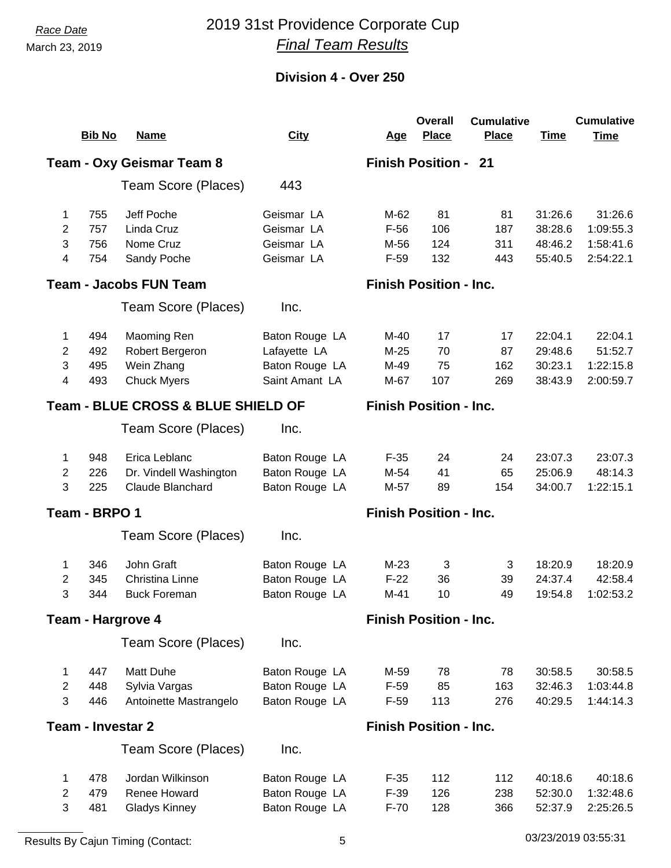## *Race Date* 2019 31st Providence Corporate Cup *Final Team Results*

|                                                                                |                          |                                  |                |            | <b>Overall</b>                | <b>Cumulative</b> |             | <b>Cumulative</b> |
|--------------------------------------------------------------------------------|--------------------------|----------------------------------|----------------|------------|-------------------------------|-------------------|-------------|-------------------|
|                                                                                | <b>Bib No</b>            | <b>Name</b>                      | <b>City</b>    | <u>Age</u> | <b>Place</b>                  | <b>Place</b>      | <b>Time</b> | <b>Time</b>       |
|                                                                                |                          | <b>Team - Oxy Geismar Team 8</b> |                |            | <b>Finish Position - 21</b>   |                   |             |                   |
|                                                                                |                          | Team Score (Places)              | 443            |            |                               |                   |             |                   |
| 1                                                                              | 755                      | Jeff Poche                       | Geismar LA     | M-62       | 81                            | 81                | 31:26.6     | 31:26.6           |
| $\overline{2}$                                                                 | 757                      | Linda Cruz                       | Geismar LA     | $F-56$     | 106                           | 187               | 38:28.6     | 1:09:55.3         |
| 3                                                                              | 756                      | Nome Cruz                        | Geismar LA     | M-56       | 124                           | 311               | 48:46.2     | 1:58:41.6         |
| $\overline{\mathcal{A}}$                                                       | 754                      | Sandy Poche                      | Geismar LA     | $F-59$     | 132                           | 443               | 55:40.5     | 2:54:22.1         |
|                                                                                |                          | <b>Team - Jacobs FUN Team</b>    |                |            | <b>Finish Position - Inc.</b> |                   |             |                   |
|                                                                                |                          | Team Score (Places)              | Inc.           |            |                               |                   |             |                   |
| 1                                                                              | 494                      | Maoming Ren                      | Baton Rouge LA | M-40       | 17                            | 17                | 22:04.1     | 22:04.1           |
| $\overline{2}$                                                                 | 492                      | Robert Bergeron                  | Lafayette LA   | $M-25$     | 70                            | 87                | 29:48.6     | 51:52.7           |
| 3                                                                              | 495                      | Wein Zhang                       | Baton Rouge LA | M-49       | 75                            | 162               | 30:23.1     | 1:22:15.8         |
| 4                                                                              | 493                      | <b>Chuck Myers</b>               | Saint Amant LA | M-67       | 107                           | 269               | 38:43.9     | 2:00:59.7         |
| <b>Team - BLUE CROSS &amp; BLUE SHIELD OF</b><br><b>Finish Position - Inc.</b> |                          |                                  |                |            |                               |                   |             |                   |
|                                                                                |                          | Team Score (Places)              | Inc.           |            |                               |                   |             |                   |
| 1                                                                              | 948                      | Erica Leblanc                    | Baton Rouge LA | $F-35$     | 24                            | 24                | 23:07.3     | 23:07.3           |
| $\overline{2}$                                                                 | 226                      | Dr. Vindell Washington           | Baton Rouge LA | M-54       | 41                            | 65                | 25:06.9     | 48:14.3           |
| 3                                                                              | 225                      | Claude Blanchard                 | Baton Rouge LA | M-57       | 89                            | 154               | 34:00.7     | 1:22:15.1         |
| Team - BRPO 1                                                                  |                          |                                  |                |            | <b>Finish Position - Inc.</b> |                   |             |                   |
|                                                                                |                          | Team Score (Places)              | Inc.           |            |                               |                   |             |                   |
| 1                                                                              | 346                      | John Graft                       | Baton Rouge LA | $M-23$     | 3                             | 3                 | 18:20.9     | 18:20.9           |
| $\overline{2}$                                                                 | 345                      | <b>Christina Linne</b>           | Baton Rouge LA | $F-22$     | 36                            | 39                | 24:37.4     | 42:58.4           |
| 3                                                                              | 344                      | <b>Buck Foreman</b>              | Baton Rouge LA | $M-41$     | 10                            | 49                | 19:54.8     | 1:02:53.2         |
|                                                                                |                          | <b>Team - Hargrove 4</b>         |                |            | <b>Finish Position - Inc.</b> |                   |             |                   |
|                                                                                |                          | Team Score (Places)              | Inc.           |            |                               |                   |             |                   |
| 1                                                                              | 447                      | Matt Duhe                        | Baton Rouge LA | M-59       | 78                            | 78                | 30:58.5     | 30:58.5           |
| $\overline{2}$                                                                 | 448                      | Sylvia Vargas                    | Baton Rouge LA | $F-59$     | 85                            | 163               | 32:46.3     | 1:03:44.8         |
| 3                                                                              | 446                      | Antoinette Mastrangelo           | Baton Rouge LA | $F-59$     | 113                           | 276               | 40:29.5     | 1:44:14.3         |
|                                                                                | <b>Team - Investar 2</b> |                                  |                |            | <b>Finish Position - Inc.</b> |                   |             |                   |
|                                                                                |                          | Team Score (Places)              | Inc.           |            |                               |                   |             |                   |
| 1                                                                              | 478                      | Jordan Wilkinson                 | Baton Rouge LA | $F-35$     | 112                           | 112               | 40:18.6     | 40:18.6           |
| $\overline{2}$                                                                 | 479                      | Renee Howard                     | Baton Rouge LA | $F-39$     | 126                           | 238               | 52:30.0     | 1:32:48.6         |
| 3                                                                              | 481                      | <b>Gladys Kinney</b>             | Baton Rouge LA | $F-70$     | 128                           | 366               | 52:37.9     | 2:25:26.5         |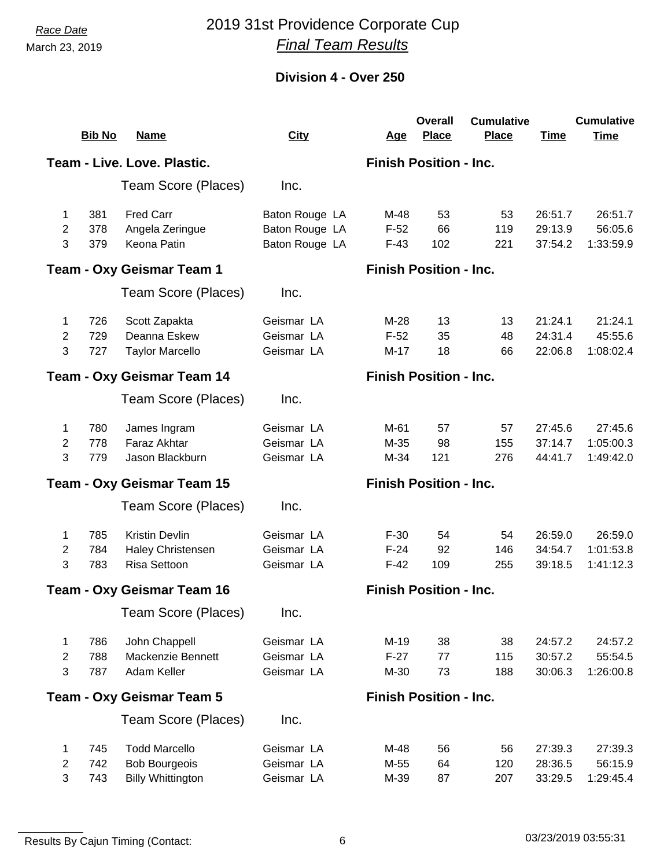# *Race Date* 2019 31st Providence Corporate Cup *Final Team Results*

|                                                             |               |                             |                |                               | <b>Overall</b>                | <b>Cumulative</b> |             | <b>Cumulative</b> |
|-------------------------------------------------------------|---------------|-----------------------------|----------------|-------------------------------|-------------------------------|-------------------|-------------|-------------------|
|                                                             | <b>Bib No</b> | <b>Name</b>                 | <b>City</b>    | <u>Age</u>                    | <b>Place</b>                  | <b>Place</b>      | <b>Time</b> | <b>Time</b>       |
|                                                             |               | Team - Live. Love. Plastic. |                |                               | <b>Finish Position - Inc.</b> |                   |             |                   |
|                                                             |               | Team Score (Places)         | Inc.           |                               |                               |                   |             |                   |
| 1                                                           | 381           | <b>Fred Carr</b>            | Baton Rouge LA | M-48                          | 53                            | 53                | 26:51.7     | 26:51.7           |
| $\overline{2}$                                              | 378           | Angela Zeringue             | Baton Rouge LA | $F-52$                        | 66                            | 119               | 29:13.9     | 56:05.6           |
| 3                                                           | 379           | Keona Patin                 | Baton Rouge LA | $F-43$                        | 102                           | 221               | 37:54.2     | 1:33:59.9         |
|                                                             |               | Team - Oxy Geismar Team 1   |                |                               | <b>Finish Position - Inc.</b> |                   |             |                   |
|                                                             |               | Team Score (Places)         | Inc.           |                               |                               |                   |             |                   |
| 1                                                           | 726           | Scott Zapakta               | Geismar LA     | $M-28$                        | 13                            | 13                | 21:24.1     | 21:24.1           |
| $\overline{2}$                                              | 729           | Deanna Eskew                | Geismar LA     | $F-52$                        | 35                            | 48                | 24:31.4     | 45:55.6           |
| 3                                                           | 727           | <b>Taylor Marcello</b>      | Geismar LA     | $M-17$                        | 18                            | 66                | 22:06.8     | 1:08:02.4         |
| <b>Finish Position - Inc.</b><br>Team - Oxy Geismar Team 14 |               |                             |                |                               |                               |                   |             |                   |
|                                                             |               | Team Score (Places)         | Inc.           |                               |                               |                   |             |                   |
| 1                                                           | 780           | James Ingram                | Geismar LA     | M-61                          | 57                            | 57                | 27:45.6     | 27:45.6           |
| 2                                                           | 778           | Faraz Akhtar                | Geismar LA     | M-35                          | 98                            | 155               | 37:14.7     | 1:05:00.3         |
| 3                                                           | 779           | Jason Blackburn             | Geismar LA     | M-34                          | 121                           | 276               | 44:41.7     | 1:49:42.0         |
|                                                             |               | Team - Oxy Geismar Team 15  |                |                               | <b>Finish Position - Inc.</b> |                   |             |                   |
|                                                             |               | Team Score (Places)         | Inc.           |                               |                               |                   |             |                   |
| 1                                                           | 785           | <b>Kristin Devlin</b>       | Geismar LA     | $F-30$                        | 54                            | 54                | 26:59.0     | 26:59.0           |
| $\overline{2}$                                              | 784           | <b>Haley Christensen</b>    | Geismar LA     | $F-24$                        | 92                            | 146               | 34:54.7     | 1:01:53.8         |
| 3                                                           | 783           | Risa Settoon                | Geismar LA     | $F-42$                        | 109                           | 255               | 39:18.5     | 1:41:12.3         |
|                                                             |               | Team - Oxy Geismar Team 16  |                | <b>Finish Position - Inc.</b> |                               |                   |             |                   |
|                                                             |               | Team Score (Places)         | Inc.           |                               |                               |                   |             |                   |
| 1                                                           | 786           | John Chappell               | Geismar LA     | $M-19$                        | 38                            | 38                | 24:57.2     | 24:57.2           |
| 2                                                           | 788           | Mackenzie Bennett           | Geismar LA     | $F-27$                        | 77                            | 115               | 30:57.2     | 55:54.5           |
| 3                                                           | 787           | Adam Keller                 | Geismar LA     | M-30                          | 73                            | 188               | 30:06.3     | 1:26:00.8         |
|                                                             |               | Team - Oxy Geismar Team 5   |                | <b>Finish Position - Inc.</b> |                               |                   |             |                   |
|                                                             |               | Team Score (Places)         | Inc.           |                               |                               |                   |             |                   |
| 1                                                           | 745           | <b>Todd Marcello</b>        | Geismar LA     | M-48                          | 56                            | 56                | 27:39.3     | 27:39.3           |
| $\mathbf{2}$                                                | 742           | <b>Bob Bourgeois</b>        | Geismar LA     | M-55                          | 64                            | 120               | 28:36.5     | 56:15.9           |
| $\mathbf{3}$                                                | 743           | <b>Billy Whittington</b>    | Geismar LA     | M-39                          | 87                            | 207               | 33:29.5     | 1:29:45.4         |